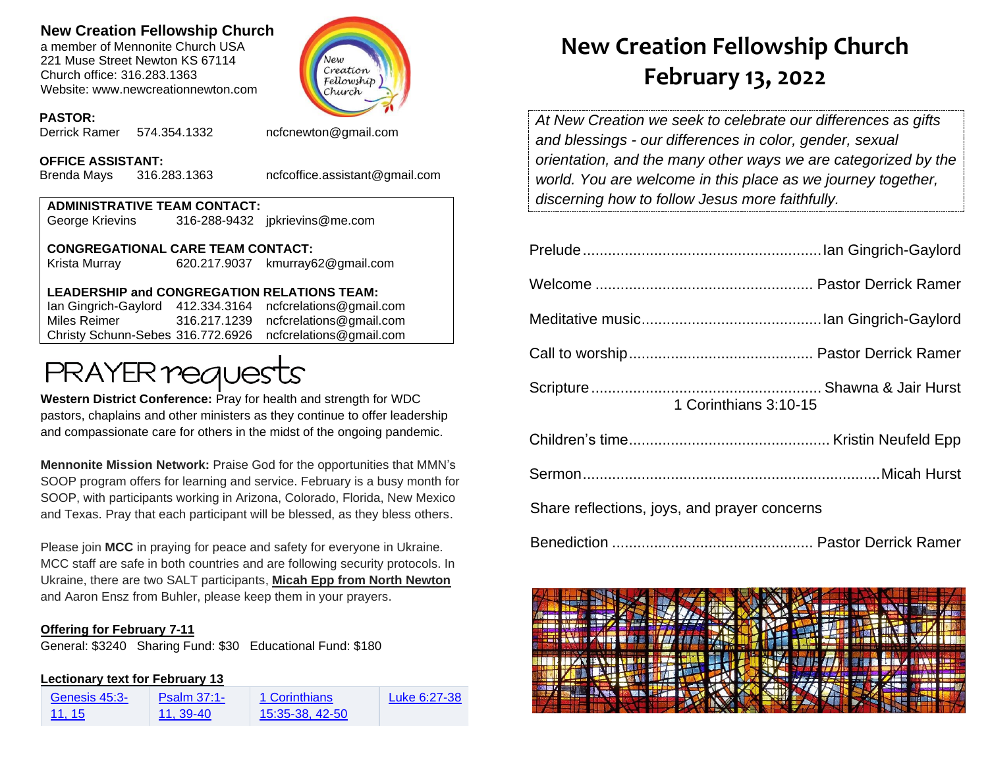### **New Creation Fellowship Church**

a member of Mennonite Church USA 221 Muse Street Newton KS 67114 Church office: 316.283.1363 Website: www.newcreationnewton.com



### **PASTOR:**

Derrick Ramer 574.354.1332 [ncfcnewton@gmail.com](mailto:ncfcnewton@gmail.com)

#### **OFFICE ASSISTANT:**

Brenda Mays 316.283.1363 ncfcoffice.assistant@gmail.com

### **ADMINISTRATIVE TEAM CONTACT:** George Krievins 316-288-9432 jpkrievins@me.com

**CONGREGATIONAL CARE TEAM CONTACT:** Krista Murray 620.217.9037 [kmurray62@gmail.com](mailto:kmurray62@gmail.com)

### **LEADERSHIP and CONGREGATION RELATIONS TEAM:**

Ian Gingrich-Gaylord 412.334.3164 [ncfcrelations@gmail.com](mailto:ncfcrelations@gmail.com) Miles Reimer [316.217.1239](mailto:316.217.1239) [ncfcrelations@gmail.com](mailto:ncfcrelations@gmail.com) Christy Schunn-Sebes 316.772.6926 ncfcrelations@gmail.com

# **PRAYER requests**

**Western District Conference:** Pray for health and strength for WDC pastors, chaplains and other ministers as they continue to offer leadership and compassionate care for others in the midst of the ongoing pandemic.

**Mennonite Mission Network:** Praise God for the opportunities that MMN's SOOP program offers for learning and service. February is a busy month for SOOP, with participants working in Arizona, Colorado, Florida, New Mexico and Texas. Pray that each participant will be blessed, as they bless others.

Please join **MCC** in praying for peace and safety for everyone in Ukraine. MCC staff are safe in both countries and are following security protocols. In Ukraine, there are two SALT participants, **Micah Epp from North Newton** and Aaron Ensz from Buhler, please keep them in your prayers.

### **Offering for February 7-11**

General: \$3240 Sharing Fund: \$30 Educational Fund: \$180

### **Lectionary text for February 13**

| Genesis 45:3- | <b>Psalm 37:1-</b> | 1 Corinthians   | Luke 6:27-38 |
|---------------|--------------------|-----------------|--------------|
| 11, 15        | 11.39-40           | 15:35-38, 42-50 |              |

## **New Creation Fellowship Church February 13, 2022**

*At New Creation we seek to celebrate our differences as gifts and blessings - our differences in color, gender, sexual orientation, and the many other ways we are categorized by the world. You are welcome in this place as we journey together, discerning how to follow Jesus more faithfully.*

|                                              | 1 Corinthians 3:10-15 |  |
|----------------------------------------------|-----------------------|--|
|                                              |                       |  |
|                                              |                       |  |
| Share reflections, joys, and prayer concerns |                       |  |

Benediction ................................................ Pastor Derrick Ramer